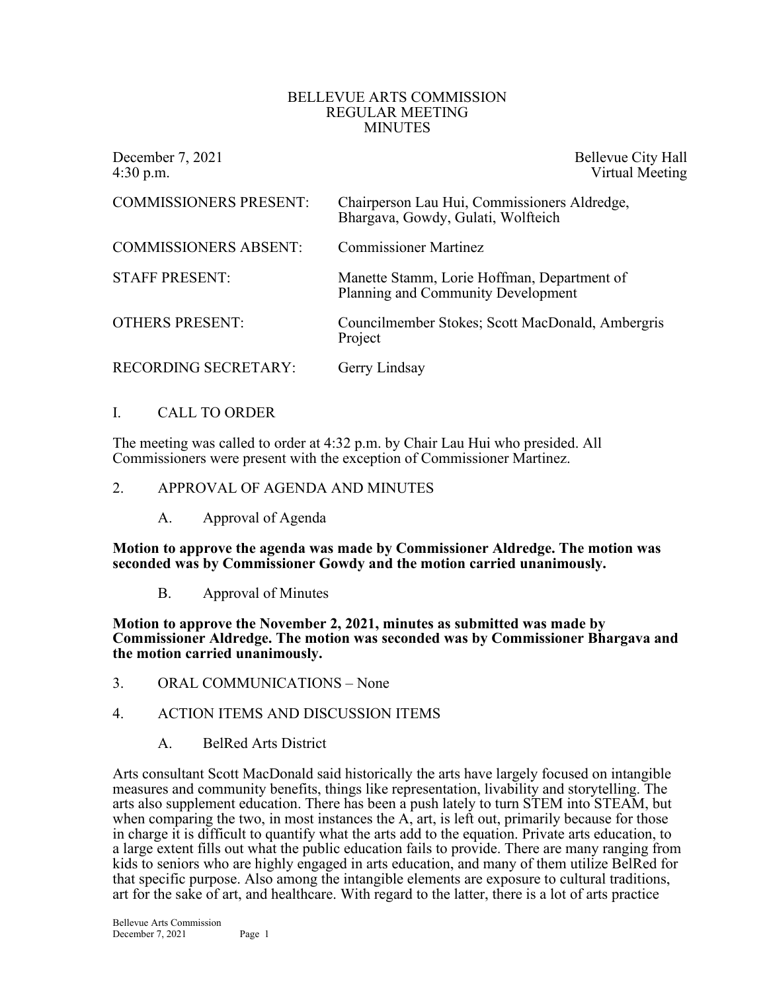#### BELLEVUE ARTS COMMISSION REGULAR MEETING MINUTES

| December 7, 2021<br>$4:30$ p.m. | Bellevue City Hall<br>Virtual Meeting                                              |
|---------------------------------|------------------------------------------------------------------------------------|
| <b>COMMISSIONERS PRESENT:</b>   | Chairperson Lau Hui, Commissioners Aldredge,<br>Bhargava, Gowdy, Gulati, Wolfteich |
| <b>COMMISSIONERS ABSENT:</b>    | <b>Commissioner Martinez</b>                                                       |
| <b>STAFF PRESENT:</b>           | Manette Stamm, Lorie Hoffman, Department of<br>Planning and Community Development  |
| <b>OTHERS PRESENT:</b>          | Councilmember Stokes; Scott MacDonald, Ambergris<br>Project                        |
| <b>RECORDING SECRETARY:</b>     | Gerry Lindsay                                                                      |

## I. CALL TO ORDER

The meeting was called to order at 4:32 p.m. by Chair Lau Hui who presided. All Commissioners were present with the exception of Commissioner Martinez.

#### 2. APPROVAL OF AGENDA AND MINUTES

A. Approval of Agenda

**Motion to approve the agenda was made by Commissioner Aldredge. The motion was seconded was by Commissioner Gowdy and the motion carried unanimously.**

B. Approval of Minutes

**Motion to approve the November 2, 2021, minutes as submitted was made by Commissioner Aldredge. The motion was seconded was by Commissioner Bhargava and the motion carried unanimously.**

- 3. ORAL COMMUNICATIONS None
- 4. ACTION ITEMS AND DISCUSSION ITEMS
	- A. BelRed Arts District

Arts consultant Scott MacDonald said historically the arts have largely focused on intangible measures and community benefits, things like representation, livability and storytelling. The arts also supplement education. There has been a push lately to turn STEM into STEAM, but when comparing the two, in most instances the A, art, is left out, primarily because for those in charge it is difficult to quantify what the arts add to the equation. Private arts education, to a large extent fills out what the public education fails to provide. There are many ranging from kids to seniors who are highly engaged in arts education, and many of them utilize BelRed for that specific purpose. Also among the intangible elements are exposure to cultural traditions, art for the sake of art, and healthcare. With regard to the latter, there is a lot of arts practice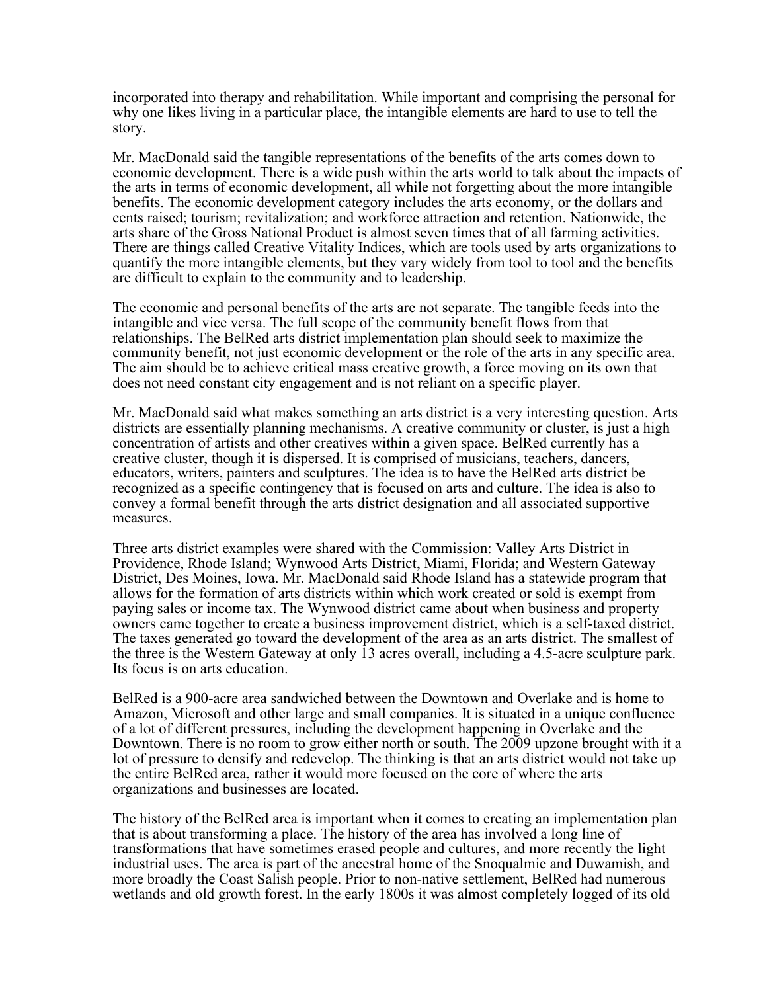incorporated into therapy and rehabilitation. While important and comprising the personal for why one likes living in a particular place, the intangible elements are hard to use to tell the story.

Mr. MacDonald said the tangible representations of the benefits of the arts comes down to economic development. There is a wide push within the arts world to talk about the impacts of the arts in terms of economic development, all while not forgetting about the more intangible benefits. The economic development category includes the arts economy, or the dollars and cents raised; tourism; revitalization; and workforce attraction and retention. Nationwide, the arts share of the Gross National Product is almost seven times that of all farming activities. There are things called Creative Vitality Indices, which are tools used by arts organizations to quantify the more intangible elements, but they vary widely from tool to tool and the benefits are difficult to explain to the community and to leadership.

The economic and personal benefits of the arts are not separate. The tangible feeds into the intangible and vice versa. The full scope of the community benefit flows from that relationships. The BelRed arts district implementation plan should seek to maximize the community benefit, not just economic development or the role of the arts in any specific area. The aim should be to achieve critical mass creative growth, a force moving on its own that does not need constant city engagement and is not reliant on a specific player.

Mr. MacDonald said what makes something an arts district is a very interesting question. Arts districts are essentially planning mechanisms. A creative community or cluster, is just a high concentration of artists and other creatives within a given space. BelRed currently has a creative cluster, though it is dispersed. It is comprised of musicians, teachers, dancers, educators, writers, painters and sculptures. The idea is to have the BelRed arts district be recognized as a specific contingency that is focused on arts and culture. The idea is also to convey a formal benefit through the arts district designation and all associated supportive measures.

Three arts district examples were shared with the Commission: Valley Arts District in Providence, Rhode Island; Wynwood Arts District, Miami, Florida; and Western Gateway District, Des Moines, Iowa. Mr. MacDonald said Rhode Island has a statewide program that allows for the formation of arts districts within which work created or sold is exempt from paying sales or income tax. The Wynwood district came about when business and property owners came together to create a business improvement district, which is a self-taxed district. The taxes generated go toward the development of the area as an arts district. The smallest of the three is the Western Gateway at only 13 acres overall, including a 4.5-acre sculpture park. Its focus is on arts education.

BelRed is a 900-acre area sandwiched between the Downtown and Overlake and is home to Amazon, Microsoft and other large and small companies. It is situated in a unique confluence of a lot of different pressures, including the development happening in Overlake and the Downtown. There is no room to grow either north or south. The 2009 upzone brought with it a lot of pressure to densify and redevelop. The thinking is that an arts district would not take up the entire BelRed area, rather it would more focused on the core of where the arts organizations and businesses are located.

The history of the BelRed area is important when it comes to creating an implementation plan that is about transforming a place. The history of the area has involved a long line of transformations that have sometimes erased people and cultures, and more recently the light industrial uses. The area is part of the ancestral home of the Snoqualmie and Duwamish, and more broadly the Coast Salish people. Prior to non-native settlement, BelRed had numerous wetlands and old growth forest. In the early 1800s it was almost completely logged of its old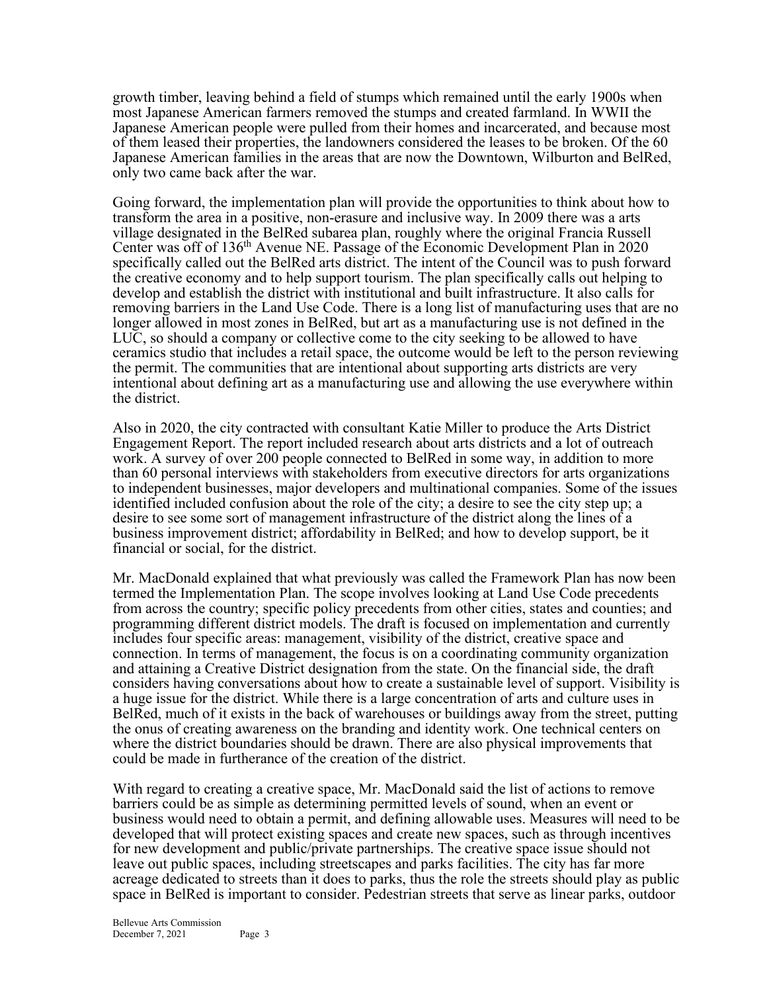growth timber, leaving behind a field of stumps which remained until the early 1900s when most Japanese American farmers removed the stumps and created farmland. In WWII the Japanese American people were pulled from their homes and incarcerated, and because most of them leased their properties, the landowners considered the leases to be broken. Of the 60 Japanese American families in the areas that are now the Downtown, Wilburton and BelRed, only two came back after the war.

Going forward, the implementation plan will provide the opportunities to think about how to transform the area in a positive, non-erasure and inclusive way. In 2009 there was a arts village designated in the BelRed subarea plan, roughly where the original Francia Russell Center was off of 136<sup>th</sup> Avenue NE. Passage of the Economic Development Plan in 2020 specifically called out the BelRed arts district. The intent of the Council was to push forward the creative economy and to help support tourism. The plan specifically calls out helping to develop and establish the district with institutional and built infrastructure. It also calls for removing barriers in the Land Use Code. There is a long list of manufacturing uses that are no longer allowed in most zones in BelRed, but art as a manufacturing use is not defined in the LUC, so should a company or collective come to the city seeking to be allowed to have ceramics studio that includes a retail space, the outcome would be left to the person reviewing the permit. The communities that are intentional about supporting arts districts are very intentional about defining art as a manufacturing use and allowing the use everywhere within the district.

Also in 2020, the city contracted with consultant Katie Miller to produce the Arts District Engagement Report. The report included research about arts districts and a lot of outreach work. A survey of over 200 people connected to BelRed in some way, in addition to more than 60 personal interviews with stakeholders from executive directors for arts organizations to independent businesses, major developers and multinational companies. Some of the issues identified included confusion about the role of the city; a desire to see the city step up; a desire to see some sort of management infrastructure of the district along the lines of a business improvement district; affordability in BelRed; and how to develop support, be it financial or social, for the district.

Mr. MacDonald explained that what previously was called the Framework Plan has now been termed the Implementation Plan. The scope involves looking at Land Use Code precedents from across the country; specific policy precedents from other cities, states and counties; and programming different district models. The draft is focused on implementation and currently includes four specific areas: management, visibility of the district, creative space and connection. In terms of management, the focus is on a coordinating community organization and attaining a Creative District designation from the state. On the financial side, the draft considers having conversations about how to create a sustainable level of support. Visibility is a huge issue for the district. While there is a large concentration of arts and culture uses in BelRed, much of it exists in the back of warehouses or buildings away from the street, putting the onus of creating awareness on the branding and identity work. One technical centers on where the district boundaries should be drawn. There are also physical improvements that could be made in furtherance of the creation of the district.

With regard to creating a creative space, Mr. MacDonald said the list of actions to remove barriers could be as simple as determining permitted levels of sound, when an event or business would need to obtain a permit, and defining allowable uses. Measures will need to be developed that will protect existing spaces and create new spaces, such as through incentives for new development and public/private partnerships. The creative space issue should not leave out public spaces, including streetscapes and parks facilities. The city has far more acreage dedicated to streets than it does to parks, thus the role the streets should play as public space in BelRed is important to consider. Pedestrian streets that serve as linear parks, outdoor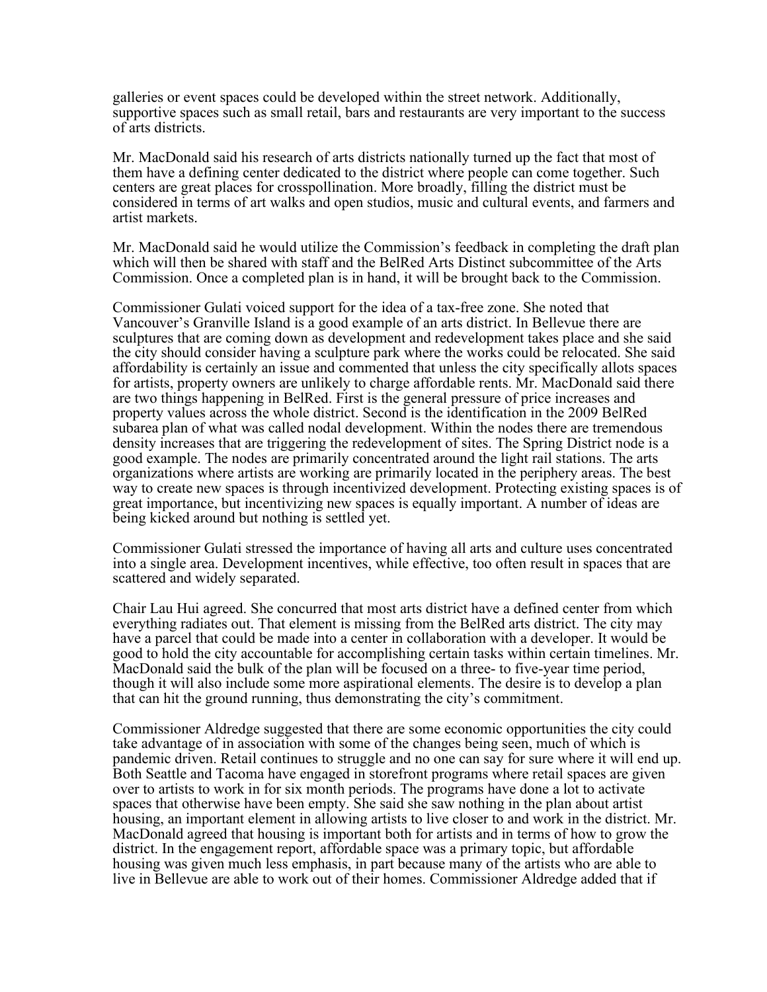galleries or event spaces could be developed within the street network. Additionally, supportive spaces such as small retail, bars and restaurants are very important to the success of arts districts.

Mr. MacDonald said his research of arts districts nationally turned up the fact that most of them have a defining center dedicated to the district where people can come together. Such centers are great places for crosspollination. More broadly, filling the district must be considered in terms of art walks and open studios, music and cultural events, and farmers and artist markets.

Mr. MacDonald said he would utilize the Commission's feedback in completing the draft plan which will then be shared with staff and the BelRed Arts Distinct subcommittee of the Arts Commission. Once a completed plan is in hand, it will be brought back to the Commission.

Commissioner Gulati voiced support for the idea of a tax-free zone. She noted that Vancouver's Granville Island is a good example of an arts district. In Bellevue there are sculptures that are coming down as development and redevelopment takes place and she said the city should consider having a sculpture park where the works could be relocated. She said affordability is certainly an issue and commented that unless the city specifically allots spaces for artists, property owners are unlikely to charge affordable rents. Mr. MacDonald said there are two things happening in BelRed. First is the general pressure of price increases and property values across the whole district. Second is the identification in the 2009 BelRed subarea plan of what was called nodal development. Within the nodes there are tremendous density increases that are triggering the redevelopment of sites. The Spring District node is a good example. The nodes are primarily concentrated around the light rail stations. The arts organizations where artists are working are primarily located in the periphery areas. The best way to create new spaces is through incentivized development. Protecting existing spaces is of great importance, but incentivizing new spaces is equally important. A number of ideas are being kicked around but nothing is settled yet.

Commissioner Gulati stressed the importance of having all arts and culture uses concentrated into a single area. Development incentives, while effective, too often result in spaces that are scattered and widely separated.

Chair Lau Hui agreed. She concurred that most arts district have a defined center from which everything radiates out. That element is missing from the BelRed arts district. The city may have a parcel that could be made into a center in collaboration with a developer. It would be good to hold the city accountable for accomplishing certain tasks within certain timelines. Mr. MacDonald said the bulk of the plan will be focused on a three- to five-year time period, though it will also include some more aspirational elements. The desire is to develop a plan that can hit the ground running, thus demonstrating the city's commitment.

Commissioner Aldredge suggested that there are some economic opportunities the city could take advantage of in association with some of the changes being seen, much of which is pandemic driven. Retail continues to struggle and no one can say for sure where it will end up. Both Seattle and Tacoma have engaged in storefront programs where retail spaces are given over to artists to work in for six month periods. The programs have done a lot to activate spaces that otherwise have been empty. She said she saw nothing in the plan about artist housing, an important element in allowing artists to live closer to and work in the district. Mr. MacDonald agreed that housing is important both for artists and in terms of how to grow the district. In the engagement report, affordable space was a primary topic, but affordable housing was given much less emphasis, in part because many of the artists who are able to live in Bellevue are able to work out of their homes. Commissioner Aldredge added that if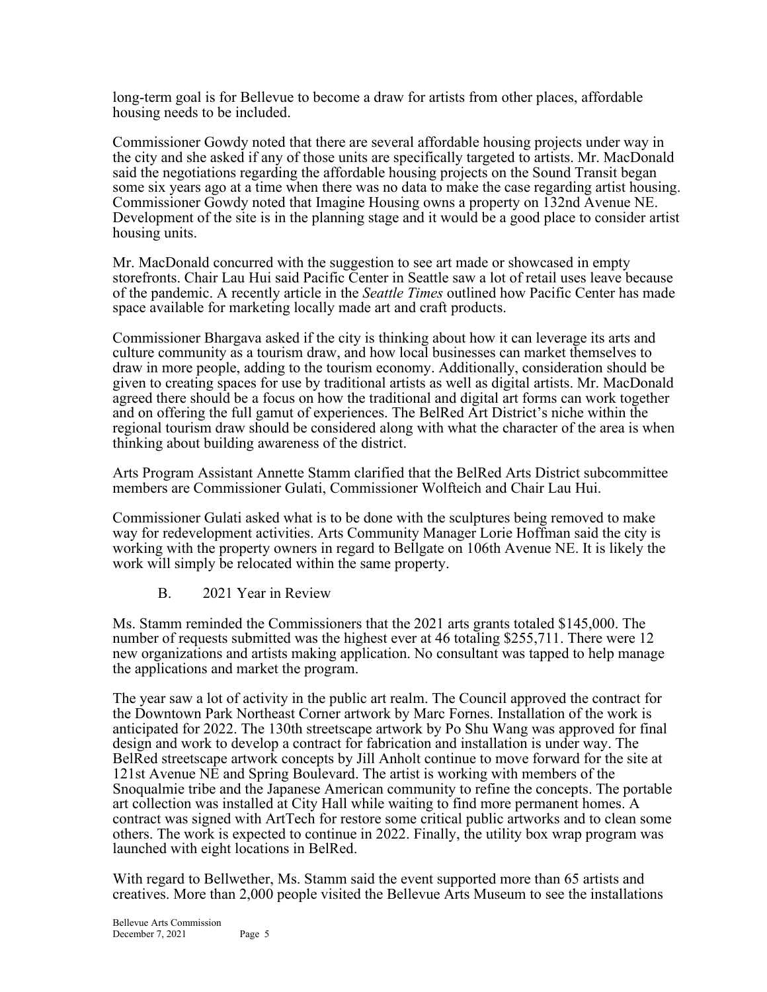long-term goal is for Bellevue to become a draw for artists from other places, affordable housing needs to be included.

Commissioner Gowdy noted that there are several affordable housing projects under way in the city and she asked if any of those units are specifically targeted to artists. Mr. MacDonald said the negotiations regarding the affordable housing projects on the Sound Transit began some six years ago at a time when there was no data to make the case regarding artist housing. Commissioner Gowdy noted that Imagine Housing owns a property on 132nd Avenue NE. Development of the site is in the planning stage and it would be a good place to consider artist housing units.

Mr. MacDonald concurred with the suggestion to see art made or showcased in empty storefronts. Chair Lau Hui said Pacific Center in Seattle saw a lot of retail uses leave because of the pandemic. A recently article in the *Seattle Times* outlined how Pacific Center has made space available for marketing locally made art and craft products.

Commissioner Bhargava asked if the city is thinking about how it can leverage its arts and culture community as a tourism draw, and how local businesses can market themselves to draw in more people, adding to the tourism economy. Additionally, consideration should be given to creating spaces for use by traditional artists as well as digital artists. Mr. MacDonald agreed there should be a focus on how the traditional and digital art forms can work together and on offering the full gamut of experiences. The BelRed Art District's niche within the regional tourism draw should be considered along with what the character of the area is when thinking about building awareness of the district.

Arts Program Assistant Annette Stamm clarified that the BelRed Arts District subcommittee members are Commissioner Gulati, Commissioner Wolfteich and Chair Lau Hui.

Commissioner Gulati asked what is to be done with the sculptures being removed to make way for redevelopment activities. Arts Community Manager Lorie Hoffman said the city is working with the property owners in regard to Bellgate on 106th Avenue NE. It is likely the work will simply be relocated within the same property.

B. 2021 Year in Review

Ms. Stamm reminded the Commissioners that the 2021 arts grants totaled \$145,000. The number of requests submitted was the highest ever at 46 totaling \$255,711. There were 12 new organizations and artists making application. No consultant was tapped to help manage the applications and market the program.

The year saw a lot of activity in the public art realm. The Council approved the contract for the Downtown Park Northeast Corner artwork by Marc Fornes. Installation of the work is anticipated for 2022. The 130th streetscape artwork by Po Shu Wang was approved for final design and work to develop a contract for fabrication and installation is under way. The BelRed streetscape artwork concepts by Jill Anholt continue to move forward for the site at 121st Avenue NE and Spring Boulevard. The artist is working with members of the Snoqualmie tribe and the Japanese American community to refine the concepts. The portable art collection was installed at City Hall while waiting to find more permanent homes. A contract was signed with ArtTech for restore some critical public artworks and to clean some others. The work is expected to continue in 2022. Finally, the utility box wrap program was launched with eight locations in BelRed.

With regard to Bellwether, Ms. Stamm said the event supported more than 65 artists and creatives. More than 2,000 people visited the Bellevue Arts Museum to see the installations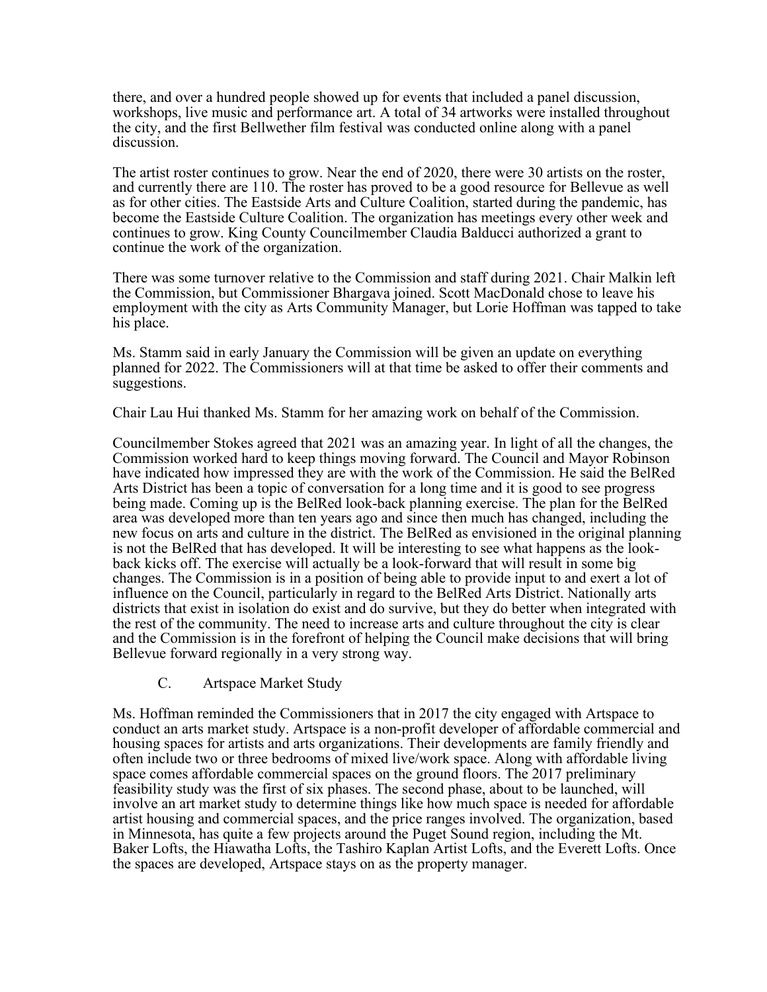there, and over a hundred people showed up for events that included a panel discussion, workshops, live music and performance art. A total of 34 artworks were installed throughout the city, and the first Bellwether film festival was conducted online along with a panel discussion.

The artist roster continues to grow. Near the end of 2020, there were 30 artists on the roster, and currently there are 110. The roster has proved to be a good resource for Bellevue as well as for other cities. The Eastside Arts and Culture Coalition, started during the pandemic, has become the Eastside Culture Coalition. The organization has meetings every other week and continues to grow. King County Councilmember Claudia Balducci authorized a grant to continue the work of the organization.

There was some turnover relative to the Commission and staff during 2021. Chair Malkin left the Commission, but Commissioner Bhargava joined. Scott MacDonald chose to leave his employment with the city as Arts Community Manager, but Lorie Hoffman was tapped to take his place.

Ms. Stamm said in early January the Commission will be given an update on everything planned for 2022. The Commissioners will at that time be asked to offer their comments and suggestions.

Chair Lau Hui thanked Ms. Stamm for her amazing work on behalf of the Commission.

Councilmember Stokes agreed that 2021 was an amazing year. In light of all the changes, the Commission worked hard to keep things moving forward. The Council and Mayor Robinson have indicated how impressed they are with the work of the Commission. He said the BelRed Arts District has been a topic of conversation for a long time and it is good to see progress being made. Coming up is the BelRed look-back planning exercise. The plan for the BelRed area was developed more than ten years ago and since then much has changed, including the new focus on arts and culture in the district. The BelRed as envisioned in the original planning is not the BelRed that has developed. It will be interesting to see what happens as the lookback kicks off. The exercise will actually be a look-forward that will result in some big changes. The Commission is in a position of being able to provide input to and exert a lot of influence on the Council, particularly in regard to the BelRed Arts District. Nationally arts districts that exist in isolation do exist and do survive, but they do better when integrated with the rest of the community. The need to increase arts and culture throughout the city is clear and the Commission is in the forefront of helping the Council make decisions that will bring Bellevue forward regionally in a very strong way.

C. Artspace Market Study

Ms. Hoffman reminded the Commissioners that in 2017 the city engaged with Artspace to conduct an arts market study. Artspace is a non-profit developer of affordable commercial and housing spaces for artists and arts organizations. Their developments are family friendly and often include two or three bedrooms of mixed live/work space. Along with affordable living space comes affordable commercial spaces on the ground floors. The 2017 preliminary feasibility study was the first of six phases. The second phase, about to be launched, will involve an art market study to determine things like how much space is needed for affordable artist housing and commercial spaces, and the price ranges involved. The organization, based in Minnesota, has quite a few projects around the Puget Sound region, including the Mt. Baker Lofts, the Hiawatha Lofts, the Tashiro Kaplan Artist Lofts, and the Everett Lofts. Once the spaces are developed, Artspace stays on as the property manager.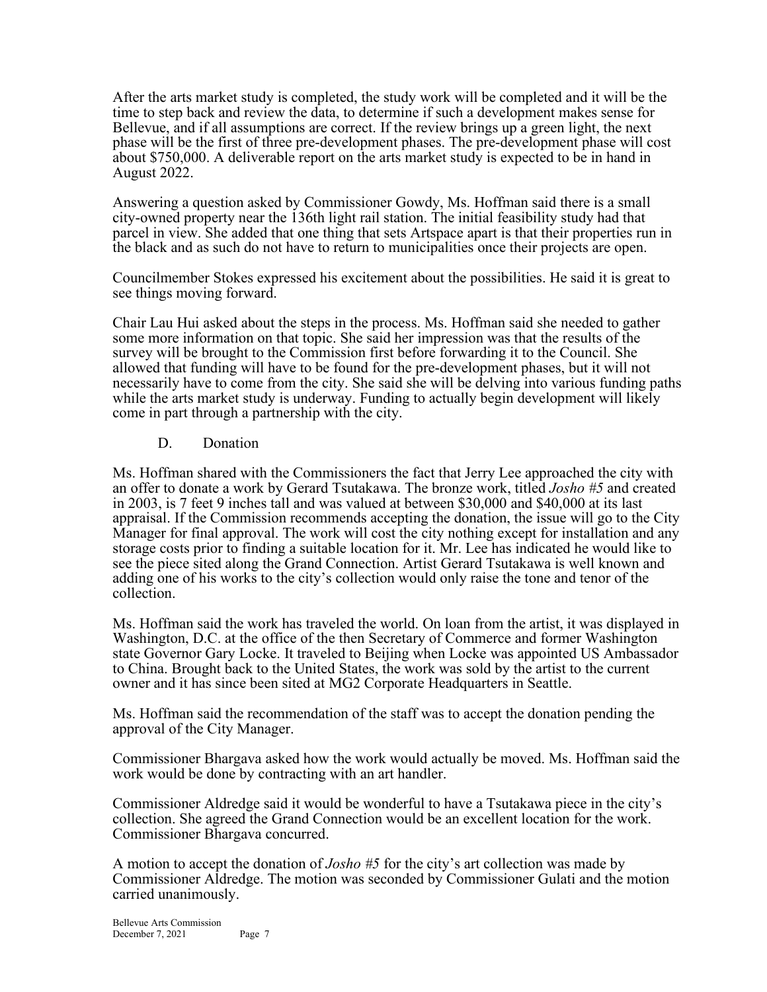After the arts market study is completed, the study work will be completed and it will be the time to step back and review the data, to determine if such a development makes sense for Bellevue, and if all assumptions are correct. If the review brings up a green light, the next phase will be the first of three pre-development phases. The pre-development phase will cost about \$750,000. A deliverable report on the arts market study is expected to be in hand in August 2022.

Answering a question asked by Commissioner Gowdy, Ms. Hoffman said there is a small city-owned property near the 136th light rail station. The initial feasibility study had that parcel in view. She added that one thing that sets Artspace apart is that their properties run in the black and as such do not have to return to municipalities once their projects are open.

Councilmember Stokes expressed his excitement about the possibilities. He said it is great to see things moving forward.

Chair Lau Hui asked about the steps in the process. Ms. Hoffman said she needed to gather some more information on that topic. She said her impression was that the results of the survey will be brought to the Commission first before forwarding it to the Council. She allowed that funding will have to be found for the pre-development phases, but it will not necessarily have to come from the city. She said she will be delving into various funding paths while the arts market study is underway. Funding to actually begin development will likely come in part through a partnership with the city.

## D. Donation

Ms. Hoffman shared with the Commissioners the fact that Jerry Lee approached the city with an offer to donate a work by Gerard Tsutakawa. The bronze work, titled *Josho #5* and created in 2003, is 7 feet 9 inches tall and was valued at between \$30,000 and \$40,000 at its last appraisal. If the Commission recommends accepting the donation, the issue will go to the City Manager for final approval. The work will cost the city nothing except for installation and any storage costs prior to finding a suitable location for it. Mr. Lee has indicated he would like to see the piece sited along the Grand Connection. Artist Gerard Tsutakawa is well known and adding one of his works to the city's collection would only raise the tone and tenor of the collection.

Ms. Hoffman said the work has traveled the world. On loan from the artist, it was displayed in Washington, D.C. at the office of the then Secretary of Commerce and former Washington state Governor Gary Locke. It traveled to Beijing when Locke was appointed US Ambassador to China. Brought back to the United States, the work was sold by the artist to the current owner and it has since been sited at MG2 Corporate Headquarters in Seattle.

Ms. Hoffman said the recommendation of the staff was to accept the donation pending the approval of the City Manager.

Commissioner Bhargava asked how the work would actually be moved. Ms. Hoffman said the work would be done by contracting with an art handler.

Commissioner Aldredge said it would be wonderful to have a Tsutakawa piece in the city's collection. She agreed the Grand Connection would be an excellent location for the work. Commissioner Bhargava concurred.

A motion to accept the donation of *Josho #5* for the city's art collection was made by Commissioner Aldredge. The motion was seconded by Commissioner Gulati and the motion carried unanimously.